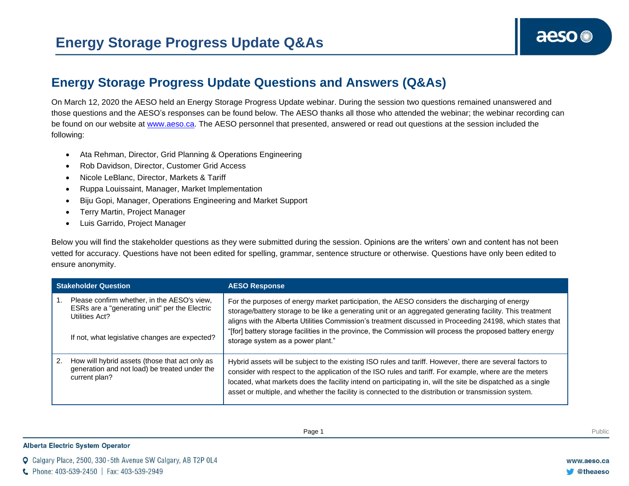## **Energy Storage Progress Update Questions and Answers (Q&As)**

On March 12, 2020 the AESO held an Energy Storage Progress Update webinar. During the session two questions remained unanswered and those questions and the AESO's responses can be found below. The AESO thanks all those who attended the webinar; the webinar recording can be found on our website at [www.aeso.ca.](http://www.aeso.ca/) The AESO personnel that presented, answered or read out questions at the session included the following:

- Ata Rehman, Director, Grid Planning & Operations Engineering
- Rob Davidson, Director, Customer Grid Access
- Nicole LeBlanc, Director, Markets & Tariff
- Ruppa Louissaint, Manager, Market Implementation
- Biju Gopi, Manager, Operations Engineering and Market Support
- Terry Martin, Project Manager
- Luis Garrido, Project Manager

Below you will find the stakeholder questions as they were submitted during the session. Opinions are the writers' own and content has not been vetted for accuracy. Questions have not been edited for spelling, grammar, sentence structure or otherwise. Questions have only been edited to ensure anonymity.

| <b>Stakeholder Question</b> |                                                                                                                                                                  | <b>AESO Response</b>                                                                                                                                                                                                                                                                                                                                                                                                                                                       |
|-----------------------------|------------------------------------------------------------------------------------------------------------------------------------------------------------------|----------------------------------------------------------------------------------------------------------------------------------------------------------------------------------------------------------------------------------------------------------------------------------------------------------------------------------------------------------------------------------------------------------------------------------------------------------------------------|
|                             | Please confirm whether, in the AESO's view,<br>ESRs are a "generating unit" per the Electric<br>Utilities Act?<br>If not, what legislative changes are expected? | For the purposes of energy market participation, the AESO considers the discharging of energy<br>storage/battery storage to be like a generating unit or an aggregated generating facility. This treatment<br>aligns with the Alberta Utilities Commission's treatment discussed in Proceeding 24198, which states that<br>"[for] battery storage facilities in the province, the Commission will process the proposed battery energy<br>storage system as a power plant." |
| 2.                          | How will hybrid assets (those that act only as<br>generation and not load) be treated under the<br>current plan?                                                 | Hybrid assets will be subject to the existing ISO rules and tariff. However, there are several factors to<br>consider with respect to the application of the ISO rules and tariff. For example, where are the meters<br>located, what markets does the facility intend on participating in, will the site be dispatched as a single<br>asset or multiple, and whether the facility is connected to the distribution or transmission system.                                |